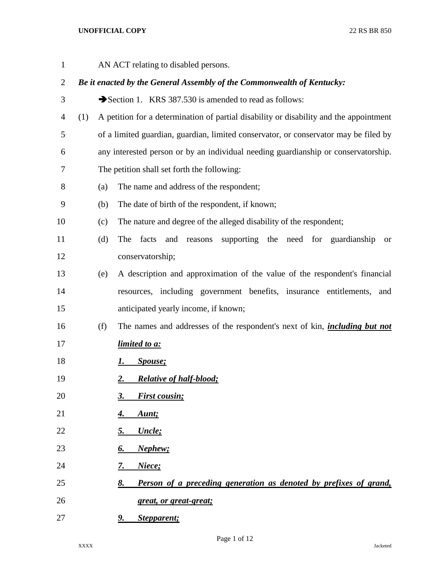| $\mathbf{1}$   |     |                                                                        | AN ACT relating to disabled persons.                                                   |  |
|----------------|-----|------------------------------------------------------------------------|----------------------------------------------------------------------------------------|--|
| $\overline{2}$ |     | Be it enacted by the General Assembly of the Commonwealth of Kentucky: |                                                                                        |  |
| 3              |     |                                                                        | Section 1. KRS 387.530 is amended to read as follows:                                  |  |
| 4              | (1) |                                                                        | A petition for a determination of partial disability or disability and the appointment |  |
| 5              |     |                                                                        | of a limited guardian, guardian, limited conservator, or conservator may be filed by   |  |
| 6              |     |                                                                        | any interested person or by an individual needing guardianship or conservatorship.     |  |
| 7              |     |                                                                        | The petition shall set forth the following:                                            |  |
| 8              |     | (a)                                                                    | The name and address of the respondent;                                                |  |
| 9              |     | (b)                                                                    | The date of birth of the respondent, if known;                                         |  |
| 10             |     | (c)                                                                    | The nature and degree of the alleged disability of the respondent;                     |  |
| 11             |     | (d)                                                                    | supporting the need for guardianship<br>The<br>facts<br>and reasons<br><b>or</b>       |  |
| 12             |     |                                                                        | conservatorship;                                                                       |  |
| 13             |     | (e)                                                                    | A description and approximation of the value of the respondent's financial             |  |
| 14             |     |                                                                        | resources, including government benefits, insurance entitlements,<br>and               |  |
| 15             |     |                                                                        | anticipated yearly income, if known;                                                   |  |
| 16             |     | (f)                                                                    | The names and addresses of the respondent's next of kin, <i>including but not</i>      |  |
| 17             |     |                                                                        | <i>limited to a:</i>                                                                   |  |
| 18             |     |                                                                        | Spouse;<br>1.                                                                          |  |
| 19             |     |                                                                        | <b>Relative of half-blood;</b><br><u>2.</u>                                            |  |
| 20             |     |                                                                        | <b>First cousin;</b><br>3.                                                             |  |
| 21             |     |                                                                        | Aunt;<br><u>4.</u>                                                                     |  |
| 22             |     |                                                                        | Uncle;<br><u>5.</u>                                                                    |  |
| 23             |     |                                                                        | Nephew;<br><u>б.</u>                                                                   |  |
| 24             |     |                                                                        | Niece;<br><u>7.</u>                                                                    |  |
| 25             |     |                                                                        | Person of a preceding generation as denoted by prefixes of grand,<br><u>8.</u>         |  |
| 26             |     |                                                                        | great, or great-great;                                                                 |  |
| 27             |     |                                                                        | Stepparent;<br>9.                                                                      |  |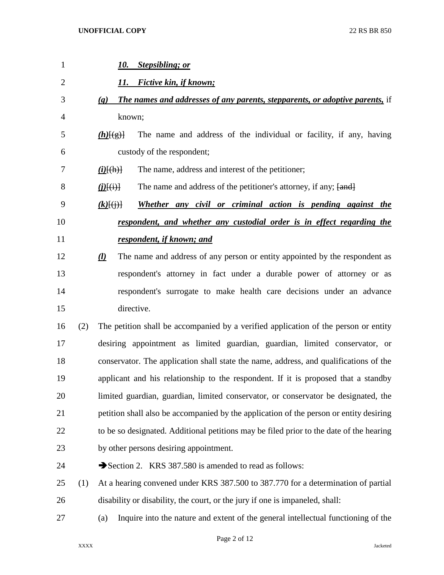| $\mathbf{1}$   |     | 10. Stepsibling; or                                                                                         |
|----------------|-----|-------------------------------------------------------------------------------------------------------------|
| $\overline{2}$ |     | Fictive kin, if known;<br>11.                                                                               |
| 3              |     | The names and addresses of any parents, stepparents, or adoptive parents, if<br>$\left( \mathbf{g} \right)$ |
| 4              |     | known;                                                                                                      |
| 5              |     | The name and address of the individual or facility, if any, having<br>$(h)$ [(g)]                           |
| 6              |     | custody of the respondent;                                                                                  |
| 7              |     | The name, address and interest of the petitioner;<br>$(i)$ [(h)]                                            |
| 8              |     | The name and address of the petitioner's attorney, if any; [and]<br>$\underline{(i)}\overline{[(i)}$        |
| 9              |     | Whether any civil or criminal action is pending against the<br>$(k)$ $\{(\cdot)\}$                          |
| 10             |     | respondent, and whether any custodial order is in effect regarding the                                      |
| 11             |     | respondent, if known; and                                                                                   |
| 12             |     | The name and address of any person or entity appointed by the respondent as<br><u>(1)</u>                   |
| 13             |     | respondent's attorney in fact under a durable power of attorney or as                                       |
| 14             |     | respondent's surrogate to make health care decisions under an advance                                       |
| 15             |     | directive.                                                                                                  |
| 16             | (2) | The petition shall be accompanied by a verified application of the person or entity                         |
| 17             |     | desiring appointment as limited guardian, guardian, limited conservator, or                                 |
| 18             |     | conservator. The application shall state the name, address, and qualifications of the                       |
| 19             |     | applicant and his relationship to the respondent. If it is proposed that a standby                          |
| 20             |     | limited guardian, guardian, limited conservator, or conservator be designated, the                          |
| 21             |     | petition shall also be accompanied by the application of the person or entity desiring                      |
| 22             |     | to be so designated. Additional petitions may be filed prior to the date of the hearing                     |
| 23             |     | by other persons desiring appointment.                                                                      |
| 24             |     | Section 2. KRS 387.580 is amended to read as follows:                                                       |
| 25             | (1) | At a hearing convened under KRS 387.500 to 387.770 for a determination of partial                           |
| 26             |     | disability or disability, the court, or the jury if one is impaneled, shall:                                |
| 27             |     | Inquire into the nature and extent of the general intellectual functioning of the<br>(a)                    |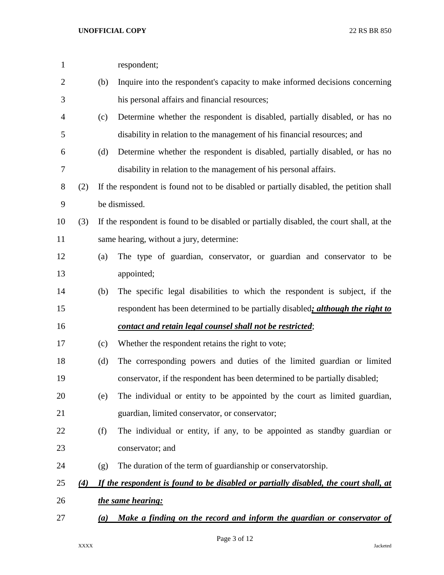| $\mathbf{1}$   |     |     | respondent;                                                                              |
|----------------|-----|-----|------------------------------------------------------------------------------------------|
| $\overline{2}$ |     | (b) | Inquire into the respondent's capacity to make informed decisions concerning             |
| 3              |     |     | his personal affairs and financial resources;                                            |
| $\overline{4}$ |     | (c) | Determine whether the respondent is disabled, partially disabled, or has no              |
| 5              |     |     | disability in relation to the management of his financial resources; and                 |
| 6              |     | (d) | Determine whether the respondent is disabled, partially disabled, or has no              |
| 7              |     |     | disability in relation to the management of his personal affairs.                        |
| 8              | (2) |     | If the respondent is found not to be disabled or partially disabled, the petition shall  |
| 9              |     |     | be dismissed.                                                                            |
| 10             | (3) |     | If the respondent is found to be disabled or partially disabled, the court shall, at the |
| 11             |     |     | same hearing, without a jury, determine:                                                 |
| 12             |     | (a) | The type of guardian, conservator, or guardian and conservator to be                     |
| 13             |     |     | appointed;                                                                               |
| 14             |     | (b) | The specific legal disabilities to which the respondent is subject, if the               |
| 15             |     |     | respondent has been determined to be partially disabled; <i>although the right to</i>    |
| 16             |     |     | contact and retain legal counsel shall not be restricted;                                |
| 17             |     | (c) | Whether the respondent retains the right to vote;                                        |
| 18             |     | (d) | The corresponding powers and duties of the limited guardian or limited                   |
| 19             |     |     | conservator, if the respondent has been determined to be partially disabled;             |
| 20             |     | (e) | The individual or entity to be appointed by the court as limited guardian,               |
| 21             |     |     | guardian, limited conservator, or conservator;                                           |
| 22             |     | (f) | The individual or entity, if any, to be appointed as standby guardian or                 |
| 23             |     |     | conservator; and                                                                         |
| 24             |     | (g) | The duration of the term of guardianship or conservatorship.                             |
| 25             | (4) |     | If the respondent is found to be disabled or partially disabled, the court shall, at     |
| 26             |     |     | the same hearing:                                                                        |
| 27             |     | (a) | Make a finding on the record and inform the guardian or conservator of                   |
|                |     |     |                                                                                          |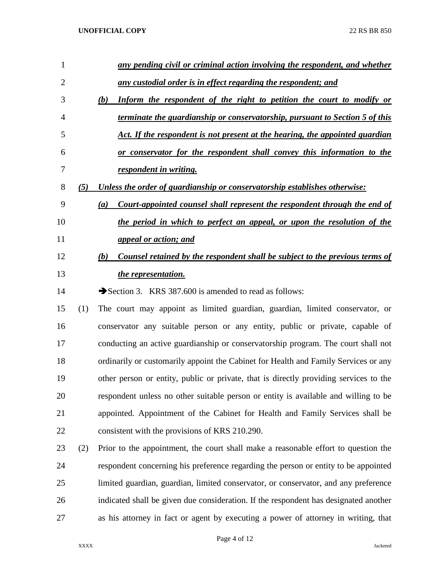| 1  |     | any pending civil or criminal action involving the respondent, and whether            |
|----|-----|---------------------------------------------------------------------------------------|
| 2  |     | any custodial order is in effect regarding the respondent; and                        |
| 3  |     | Inform the respondent of the right to petition the court to modify or<br>(b)          |
| 4  |     | terminate the guardianship or conservatorship, pursuant to Section 5 of this          |
| 5  |     | Act. If the respondent is not present at the hearing, the appointed guardian          |
| 6  |     | <u>or conservator for the respondent shall convey this information to the</u>         |
| 7  |     | respondent in writing.                                                                |
| 8  | (5) | Unless the order of guardianship or conservatorship establishes otherwise:            |
| 9  |     | Court-appointed counsel shall represent the respondent through the end of<br>(a)      |
| 10 |     | the period in which to perfect an appeal, or upon the resolution of the               |
| 11 |     | <u>appeal or action; and</u>                                                          |
| 12 |     | Counsel retained by the respondent shall be subject to the previous terms of<br>(b)   |
| 13 |     | <i>the representation.</i>                                                            |
| 14 |     | Section 3. KRS 387.600 is amended to read as follows:                                 |
| 15 | (1) | The court may appoint as limited guardian, guardian, limited conservator, or          |
| 16 |     | conservator any suitable person or any entity, public or private, capable of          |
| 17 |     | conducting an active guardianship or conservatorship program. The court shall not     |
| 18 |     | ordinarily or customarily appoint the Cabinet for Health and Family Services or any   |
| 19 |     | other person or entity, public or private, that is directly providing services to the |
| 20 |     | respondent unless no other suitable person or entity is available and willing to be   |
| 21 |     | appointed. Appointment of the Cabinet for Health and Family Services shall be         |
| 22 |     | consistent with the provisions of KRS 210.290.                                        |
| 23 | (2) | Prior to the appointment, the court shall make a reasonable effort to question the    |
| 24 |     | respondent concerning his preference regarding the person or entity to be appointed   |
| 25 |     | limited guardian, guardian, limited conservator, or conservator, and any preference   |
| 26 |     | indicated shall be given due consideration. If the respondent has designated another  |
| 27 |     | as his attorney in fact or agent by executing a power of attorney in writing, that    |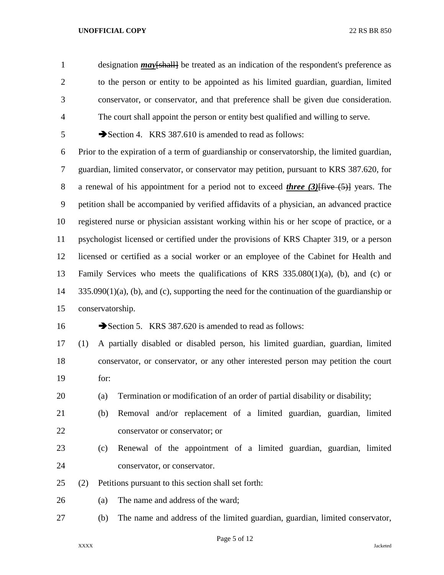designation *may*[shall] be treated as an indication of the respondent's preference as to the person or entity to be appointed as his limited guardian, guardian, limited conservator, or conservator, and that preference shall be given due consideration. The court shall appoint the person or entity best qualified and willing to serve.

Section 4. KRS 387.610 is amended to read as follows:

 Prior to the expiration of a term of guardianship or conservatorship, the limited guardian, guardian, limited conservator, or conservator may petition, pursuant to KRS 387.620, for a renewal of his appointment for a period not to exceed *three (3)*[five (5)] years. The petition shall be accompanied by verified affidavits of a physician, an advanced practice registered nurse or physician assistant working within his or her scope of practice, or a psychologist licensed or certified under the provisions of KRS Chapter 319, or a person licensed or certified as a social worker or an employee of the Cabinet for Health and Family Services who meets the qualifications of KRS 335.080(1)(a), (b), and (c) or 335.090(1)(a), (b), and (c), supporting the need for the continuation of the guardianship or conservatorship.

16 Section 5. KRS 387.620 is amended to read as follows:

 (1) A partially disabled or disabled person, his limited guardian, guardian, limited conservator, or conservator, or any other interested person may petition the court for:

- (a) Termination or modification of an order of partial disability or disability;
- (b) Removal and/or replacement of a limited guardian, guardian, limited conservator or conservator; or
- (c) Renewal of the appointment of a limited guardian, guardian, limited conservator, or conservator.
- (2) Petitions pursuant to this section shall set forth:
- (a) The name and address of the ward;
- (b) The name and address of the limited guardian, guardian, limited conservator,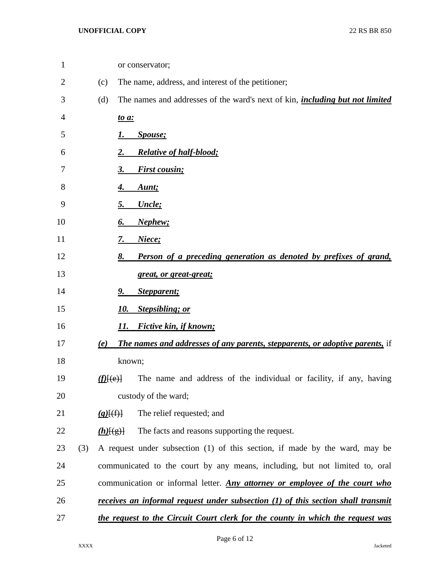| $\mathbf{1}$ |     |                      | or conservator;                                                                         |
|--------------|-----|----------------------|-----------------------------------------------------------------------------------------|
| 2            |     | (c)                  | The name, address, and interest of the petitioner;                                      |
| 3            |     | (d)                  | The names and addresses of the ward's next of kin, <i>including but not limited</i>     |
| 4            |     |                      | <u>to a:</u>                                                                            |
| 5            |     |                      | <i>Spouse</i> ;                                                                         |
| 6            |     |                      | <b>Relative of half-blood;</b>                                                          |
| 7            |     |                      | <b>First cousin;</b><br>3.                                                              |
| 8            |     |                      | Aunt;<br>4.                                                                             |
| 9            |     |                      | Uncle;<br>5.                                                                            |
| 10           |     |                      | Nephew;<br>6.                                                                           |
| 11           |     |                      | Niece;<br>7.                                                                            |
| 12           |     |                      | Person of a preceding generation as denoted by prefixes of grand,<br>8.                 |
| 13           |     |                      | <u>great, or great-great;</u>                                                           |
| 14           |     |                      | Stepparent;<br>9.                                                                       |
| 15           |     |                      | <b>Stepsibling; or</b><br>10.                                                           |
| 16           |     |                      | <b>Fictive kin, if known;</b><br>11.                                                    |
| 17           |     | (e)                  | <b>The names and addresses of any parents, stepparents, or adoptive parents,</b> if     |
| 18           |     |                      | known;                                                                                  |
| 19           |     | $(f)$ $(e)$ $\vdash$ | The name and address of the individual or facility, if any, having                      |
| 20           |     |                      | custody of the ward;                                                                    |
| 21           |     | $(g)$ $(f)$          | The relief requested; and                                                               |
| 22           |     | $(h)$ [(g)]          | The facts and reasons supporting the request.                                           |
| 23           | (3) |                      | A request under subsection (1) of this section, if made by the ward, may be             |
| 24           |     |                      | communicated to the court by any means, including, but not limited to, oral             |
| 25           |     |                      | communication or informal letter. Any attorney or employee of the court who             |
| 26           |     |                      | <u>receives an informal request under subsection (1) of this section shall transmit</u> |
| 27           |     |                      | the request to the Circuit Court clerk for the county in which the request was          |
|              |     |                      |                                                                                         |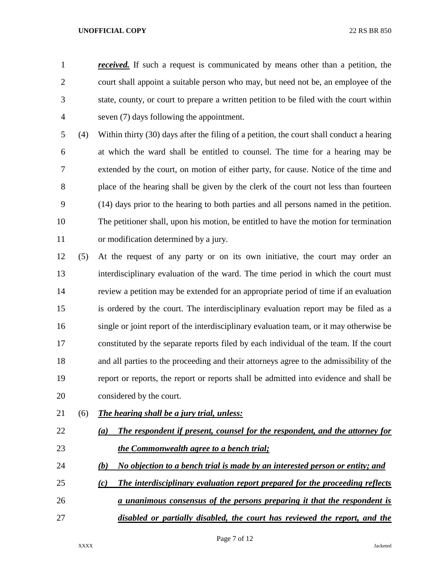*received.* If such a request is communicated by means other than a petition, the court shall appoint a suitable person who may, but need not be, an employee of the state, county, or court to prepare a written petition to be filed with the court within seven (7) days following the appointment.

 (4) Within thirty (30) days after the filing of a petition, the court shall conduct a hearing at which the ward shall be entitled to counsel. The time for a hearing may be extended by the court, on motion of either party, for cause. Notice of the time and place of the hearing shall be given by the clerk of the court not less than fourteen (14) days prior to the hearing to both parties and all persons named in the petition. The petitioner shall, upon his motion, be entitled to have the motion for termination or modification determined by a jury.

- (5) At the request of any party or on its own initiative, the court may order an interdisciplinary evaluation of the ward. The time period in which the court must review a petition may be extended for an appropriate period of time if an evaluation is ordered by the court. The interdisciplinary evaluation report may be filed as a single or joint report of the interdisciplinary evaluation team, or it may otherwise be constituted by the separate reports filed by each individual of the team. If the court and all parties to the proceeding and their attorneys agree to the admissibility of the report or reports, the report or reports shall be admitted into evidence and shall be considered by the court.
- (6) *The hearing shall be a jury trial, unless:*
- *(a) The respondent if present, counsel for the respondent, and the attorney for the Commonwealth agree to a bench trial;*
- *(b) No objection to a bench trial is made by an interested person or entity; and*
- *(c) The interdisciplinary evaluation report prepared for the proceeding reflects*
- *a unanimous consensus of the persons preparing it that the respondent is disabled or partially disabled, the court has reviewed the report, and the*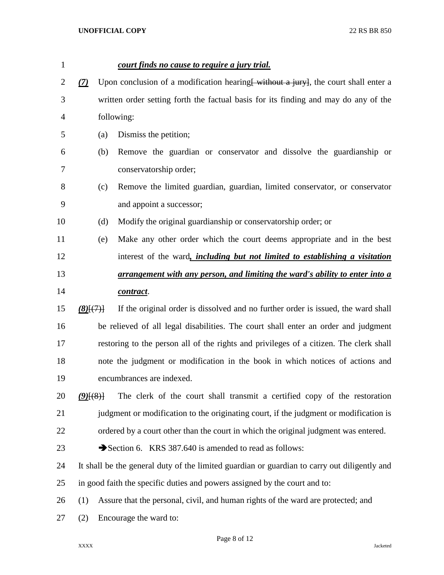| $\mathbf{1}$ |               |     | court finds no cause to require a jury trial.                                                |
|--------------|---------------|-----|----------------------------------------------------------------------------------------------|
| 2            | (7)           |     | Upon conclusion of a modification hearing without a jury, the court shall enter a            |
| 3            |               |     | written order setting forth the factual basis for its finding and may do any of the          |
| 4            |               |     | following:                                                                                   |
| 5            |               | (a) | Dismiss the petition;                                                                        |
| 6            |               | (b) | Remove the guardian or conservator and dissolve the guardianship or                          |
| 7            |               |     | conservatorship order;                                                                       |
| 8            |               | (c) | Remove the limited guardian, guardian, limited conservator, or conservator                   |
| 9            |               |     | and appoint a successor;                                                                     |
| 10           |               | (d) | Modify the original guardianship or conservatorship order; or                                |
| 11           |               | (e) | Make any other order which the court deems appropriate and in the best                       |
| 12           |               |     | interest of the ward, <i>including but not limited to establishing a visitation</i>          |
| 13           |               |     | <u>arrangement with any person, and limiting the ward's ability to enter into a</u>          |
| 14           |               |     | contract.                                                                                    |
| 15           | $(8)$ $\{7\}$ |     | If the original order is dissolved and no further order is issued, the ward shall            |
| 16           |               |     | be relieved of all legal disabilities. The court shall enter an order and judgment           |
| 17           |               |     | restoring to the person all of the rights and privileges of a citizen. The clerk shall       |
| 18           |               |     | note the judgment or modification in the book in which notices of actions and                |
| 19           |               |     | encumbrances are indexed.                                                                    |
| 20           | $(9)$ $(8)$ } |     | The clerk of the court shall transmit a certified copy of the restoration                    |
| 21           |               |     | judgment or modification to the originating court, if the judgment or modification is        |
| 22           |               |     | ordered by a court other than the court in which the original judgment was entered.          |
| 23           |               |     | Section 6. KRS 387.640 is amended to read as follows:                                        |
| 24           |               |     | It shall be the general duty of the limited guardian or guardian to carry out diligently and |
| 25           |               |     | in good faith the specific duties and powers assigned by the court and to:                   |
| 26           | (1)           |     | Assure that the personal, civil, and human rights of the ward are protected; and             |
| 27           | (2)           |     | Encourage the ward to:                                                                       |
|              |               |     |                                                                                              |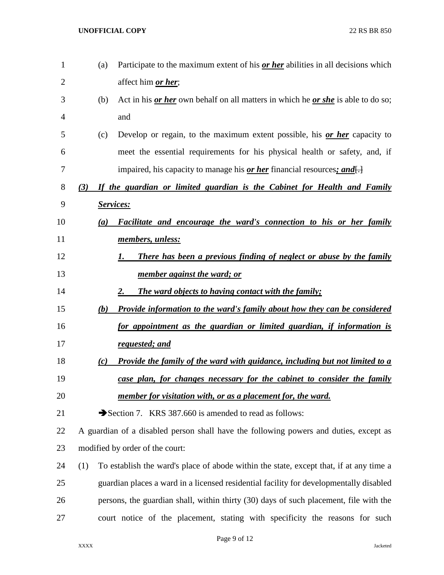| $\mathbf{1}$   | (a) | Participate to the maximum extent of his <i>or her</i> abilities in all decisions which            |
|----------------|-----|----------------------------------------------------------------------------------------------------|
| $\overline{2}$ |     | affect him <i>or her</i> ;                                                                         |
| 3              | (b) | Act in his <u>or her</u> own behalf on all matters in which he <u>or she</u> is able to do so;     |
| 4              |     | and                                                                                                |
| 5              | (c) | Develop or regain, to the maximum extent possible, his <u>or her</u> capacity to                   |
| 6              |     | meet the essential requirements for his physical health or safety, and, if                         |
| 7              |     | impaired, his capacity to manage his <b>or her</b> financial resources; and $\left\{\cdot\right\}$ |
| 8              | (3) | If the guardian or limited guardian is the Cabinet for Health and Family                           |
| 9              |     | <b>Services:</b>                                                                                   |
| 10             | (a) | Facilitate and encourage the ward's connection to his or her family                                |
| 11             |     | members, unless:                                                                                   |
| 12             |     | There has been a previous finding of neglect or abuse by the family<br>1.                          |
| 13             |     | <u>member against the ward; or</u>                                                                 |
| 14             |     | <b>The ward objects to having contact with the family;</b><br>2.                                   |
| 15             | (b) | <b>Provide information to the ward's family about how they can be considered</b>                   |
| 16             |     | for appointment as the guardian or limited guardian, if information is                             |
| 17             |     | <u>requested; and</u>                                                                              |
| 18             | (c) | <b>Provide the family of the ward with guidance, including but not limited to a</b>                |
| 19             |     | case plan, for changes necessary for the cabinet to consider the family                            |
| 20             |     | member for visitation with, or as a placement for, the ward.                                       |
| 21             |     | Section 7. KRS 387.660 is amended to read as follows:                                              |
| 22             |     | A guardian of a disabled person shall have the following powers and duties, except as              |
| 23             |     | modified by order of the court:                                                                    |
| 24             | (1) | To establish the ward's place of abode within the state, except that, if at any time a             |
| 25             |     | guardian places a ward in a licensed residential facility for developmentally disabled             |
| 26             |     | persons, the guardian shall, within thirty (30) days of such placement, file with the              |
| 27             |     | court notice of the placement, stating with specificity the reasons for such                       |
|                |     |                                                                                                    |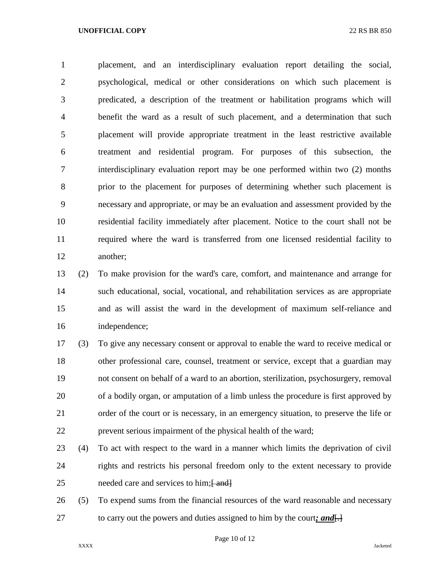placement, and an interdisciplinary evaluation report detailing the social, psychological, medical or other considerations on which such placement is predicated, a description of the treatment or habilitation programs which will benefit the ward as a result of such placement, and a determination that such placement will provide appropriate treatment in the least restrictive available treatment and residential program. For purposes of this subsection, the interdisciplinary evaluation report may be one performed within two (2) months prior to the placement for purposes of determining whether such placement is necessary and appropriate, or may be an evaluation and assessment provided by the residential facility immediately after placement. Notice to the court shall not be required where the ward is transferred from one licensed residential facility to another;

 (2) To make provision for the ward's care, comfort, and maintenance and arrange for such educational, social, vocational, and rehabilitation services as are appropriate and as will assist the ward in the development of maximum self-reliance and independence;

 (3) To give any necessary consent or approval to enable the ward to receive medical or other professional care, counsel, treatment or service, except that a guardian may not consent on behalf of a ward to an abortion, sterilization, psychosurgery, removal of a bodily organ, or amputation of a limb unless the procedure is first approved by order of the court or is necessary, in an emergency situation, to preserve the life or prevent serious impairment of the physical health of the ward;

- (4) To act with respect to the ward in a manner which limits the deprivation of civil rights and restricts his personal freedom only to the extent necessary to provide 25 needed care and services to him; $\frac{F}{r}$  and  $\frac{F}{r}$
- (5) To expend sums from the financial resources of the ward reasonable and necessary 27 to carry out the powers and duties assigned to him by the court; and  $\left\{\frac{1}{2}\right\}$

Page 10 of 12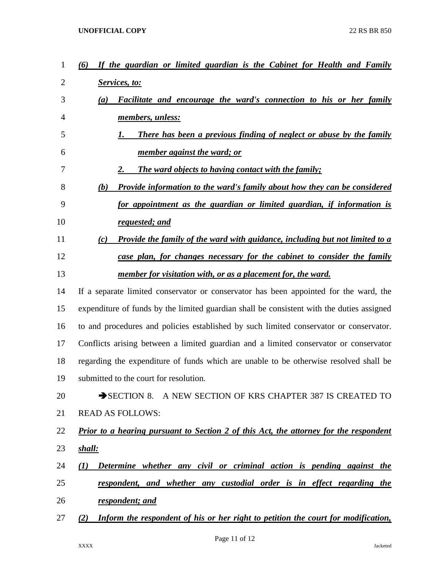| 1              | If the guardian or limited guardian is the Cabinet for Health and Family<br>(6)              |
|----------------|----------------------------------------------------------------------------------------------|
| 2              | Services, to:                                                                                |
| 3              | <b>Facilitate and encourage the ward's connection to his or her family</b><br>(a)            |
| $\overline{4}$ | members, unless:                                                                             |
| 5              | There has been a previous finding of neglect or abuse by the family<br>1.                    |
| 6              | <u>member against the ward; or</u>                                                           |
| 7              | <b>The ward objects to having contact with the family;</b><br>2.                             |
| 8              | <b>Provide information to the ward's family about how they can be considered</b><br>(b)      |
| 9              | for appointment as the guardian or limited guardian, if information is                       |
| 10             | requested; and                                                                               |
| 11             | Provide the family of the ward with guidance, including but not limited to a<br>(c)          |
| 12             | case plan, for changes necessary for the cabinet to consider the family                      |
| 13             | member for visitation with, or as a placement for, the ward.                                 |
| 14             | If a separate limited conservator or conservator has been appointed for the ward, the        |
| 15             | expenditure of funds by the limited guardian shall be consistent with the duties assigned    |
| 16             | to and procedures and policies established by such limited conservator or conservator.       |
| 17             | Conflicts arising between a limited guardian and a limited conservator or conservator        |
| 18             | regarding the expenditure of funds which are unable to be otherwise resolved shall be        |
| 19             | submitted to the court for resolution.                                                       |
| 20             | SECTION 8. A NEW SECTION OF KRS CHAPTER 387 IS CREATED TO                                    |
| 21             | <b>READ AS FOLLOWS:</b>                                                                      |
| 22             | <b>Prior to a hearing pursuant to Section 2 of this Act, the attorney for the respondent</b> |
| 23             | <u>shall:</u>                                                                                |
| 24             | Determine whether any civil or criminal action is pending against the<br>(1)                 |
| 25             | respondent, and whether any custodial order is in effect regarding the                       |
| 26             | respondent; and                                                                              |
| 27             | Inform the respondent of his or her right to petition the court for modification,<br>(2)     |
|                |                                                                                              |